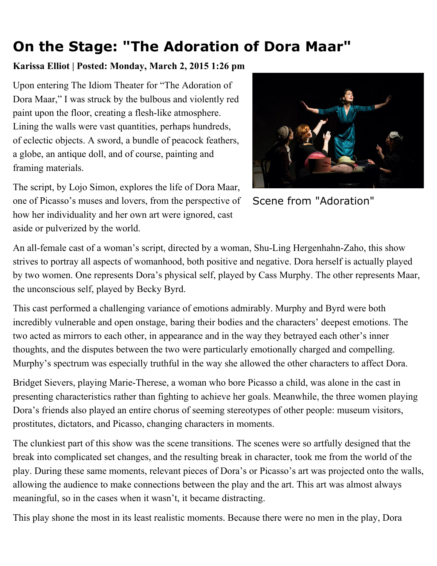## **On the Stage: "The Adoration of Dora Maar"**

## **Karissa Elliot | Posted: Monday, March 2, 2015 1:26 pm**

Upon entering The Idiom Theater for "The Adoration of Dora Maar," I was struck by the bulbous and violently red paint upon the floor, creating a flesh-like atmosphere. Lining the walls were vast quantities, perhaps hundreds, of eclectic objects. A sword, a bundle of peacock feathers, a globe, an antique doll, and of course, painting and framing materials.



Scene from "Adoration"

The script, by Lojo Simon, explores the life of Dora Maar, one of Picasso's muses and lovers, from the perspective of how her individuality and her own art were ignored, cast aside or pulverized by the world.

An all-female cast of a woman's script, directed by a woman, Shu-Ling Hergenhahn-Zaho, this show strives to portray all aspects of womanhood, both positive and negative. Dora herself is actually played by two women. One represents Dora's physical self, played by Cass Murphy. The other represents Maar, the unconscious self, played by Becky Byrd.

This cast performed a challenging variance of emotions admirably. Murphy and Byrd were both incredibly vulnerable and open onstage, baring their bodies and the characters' deepest emotions. The two acted as mirrors to each other, in appearance and in the way they betrayed each other's inner thoughts, and the disputes between the two were particularly emotionally charged and compelling. Murphy's spectrum was especially truthful in the way she allowed the other characters to affect Dora.

Bridget Sievers, playing Marie-Therese, a woman who bore Picasso a child, was alone in the cast in presenting characteristics rather than fighting to achieve her goals. Meanwhile, the three women playing Dora's friends also played an entire chorus of seeming stereotypes of other people: museum visitors, prostitutes, dictators, and Picasso, changing characters in moments.

The clunkiest part of this show was the scene transitions. The scenes were so artfully designed that the break into complicated set changes, and the resulting break in character, took me from the world of the play. During these same moments, relevant pieces of Dora's or Picasso's art was projected onto the walls, allowing the audience to make connections between the play and the art. This art was almost always meaningful, so in the cases when it wasn't, it became distracting.

This play shone the most in its least realistic moments. Because there were no men in the play, Dora